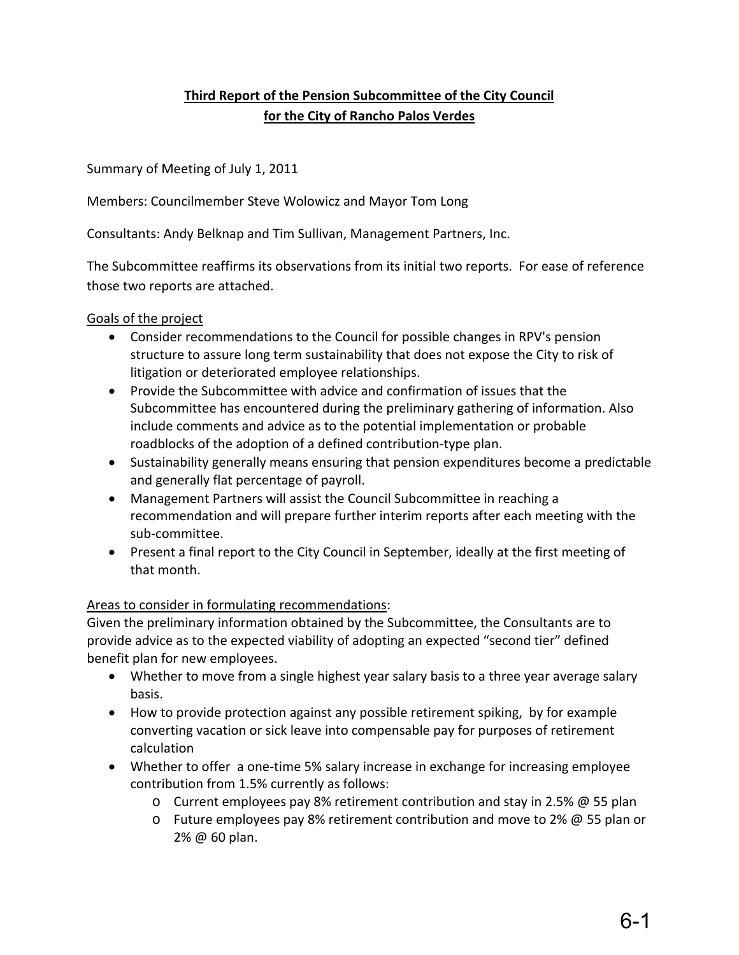# **Third Report of the Pension Subcommittee of the City Council for the City of Rancho Palos Verdes**

Summary of Meeting of July 1, 2011

Members: Councilmember Steve Wolowicz and Mayor Tom Long

Consultants: Andy Belknap and Tim Sullivan, Management Partners, Inc.

The Subcommittee reaffirms its observations from its initial two reports. For ease of reference those two reports are attached.

## Goals of the project

- Consider recommendations to the Council for possible changes in RPV's pension structure to assure long term sustainability that does not expose the City to risk of litigation or deteriorated employee relationships.
- Provide the Subcommittee with advice and confirmation of issues that the Subcommittee has encountered during the preliminary gathering of information. Also include comments and advice as to the potential implementation or probable roadblocks of the adoption of a defined contribution‐type plan.
- Sustainability generally means ensuring that pension expenditures become a predictable and generally flat percentage of payroll.
- Management Partners will assist the Council Subcommittee in reaching a recommendation and will prepare further interim reports after each meeting with the sub‐committee.
- Present a final report to the City Council in September, ideally at the first meeting of that month.

## Areas to consider in formulating recommendations:

Given the preliminary information obtained by the Subcommittee, the Consultants are to provide advice as to the expected viability of adopting an expected "second tier" defined benefit plan for new employees.

- Whether to move from a single highest year salary basis to a three year average salary basis.
- How to provide protection against any possible retirement spiking, by for example converting vacation or sick leave into compensable pay for purposes of retirement calculation
- Whether to offer a one-time 5% salary increase in exchange for increasing employee contribution from 1.5% currently as follows:
	- o Current employees pay 8% retirement contribution and stay in 2.5% @ 55 plan
	- $\circ$  Future employees pay 8% retirement contribution and move to 2%  $\omega$  55 plan or 2% @ 60 plan.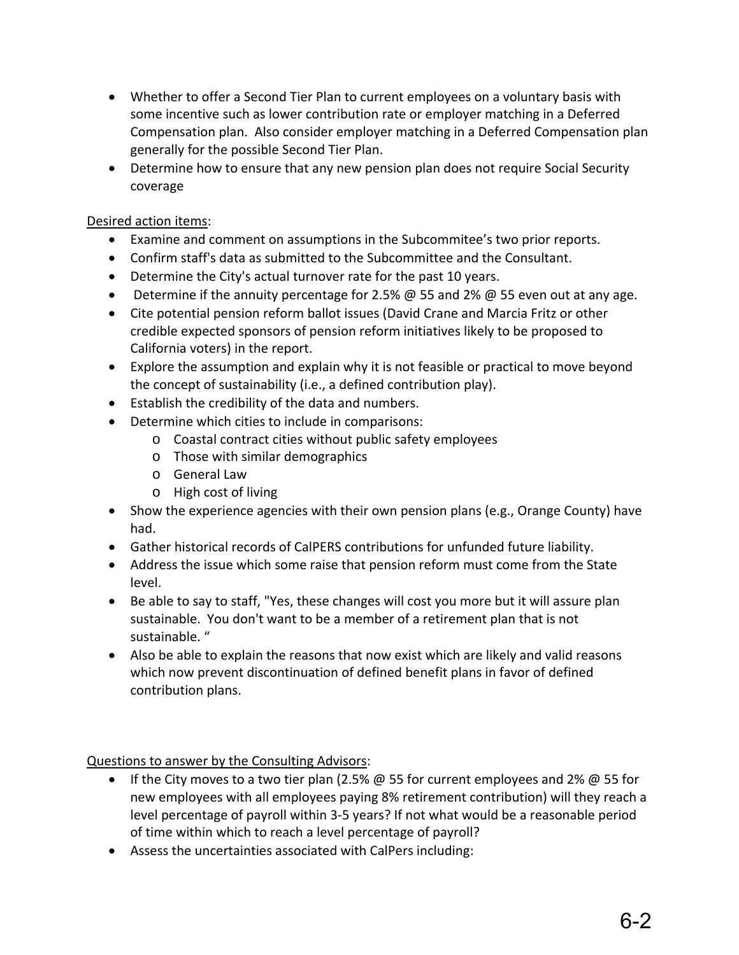- Whether to offer a Second Tier Plan to current employees on a voluntary basis with some incentive such as lower contribution rate or employer matching in a Deferred Compensation plan. Also consider employer matching in a Deferred Compensation plan generally for the possible Second Tier Plan.
- Determine how to ensure that any new pension plan does not require Social Security coverage

## Desired action items:

- Examine and comment on assumptions in the Subcommitee's two prior reports.
- Confirm staff's data as submitted to the Subcommittee and the Consultant.
- Determine the City's actual turnover rate for the past 10 years.
- Determine if the annuity percentage for 2.5%  $\omega$  55 and 2%  $\omega$  55 even out at any age.
- Cite potential pension reform ballot issues (David Crane and Marcia Fritz or other credible expected sponsors of pension reform initiatives likely to be proposed to California voters) in the report.
- Explore the assumption and explain why it is not feasible or practical to move beyond the concept of sustainability (i.e., a defined contribution play).
- Establish the credibility of the data and numbers.
- Determine which cities to include in comparisons:
	- o Coastal contract cities without public safety employees
	- o Those with similar demographics
	- o General Law
	- o High cost of living
- Show the experience agencies with their own pension plans (e.g., Orange County) have had.
- Gather historical records of CalPERS contributions for unfunded future liability.
- Address the issue which some raise that pension reform must come from the State level.
- Be able to say to staff, "Yes, these changes will cost you more but it will assure plan sustainable. You don't want to be a member of a retirement plan that is not sustainable. "
- Also be able to explain the reasons that now exist which are likely and valid reasons which now prevent discontinuation of defined benefit plans in favor of defined contribution plans.

Questions to answer by the Consulting Advisors:

- If the City moves to a two tier plan (2.5%  $\omega$  55 for current employees and 2%  $\omega$  55 for new employees with all employees paying 8% retirement contribution) will they reach a level percentage of payroll within 3‐5 years? If not what would be a reasonable period of time within which to reach a level percentage of payroll?
- Assess the uncertainties associated with CalPers including: